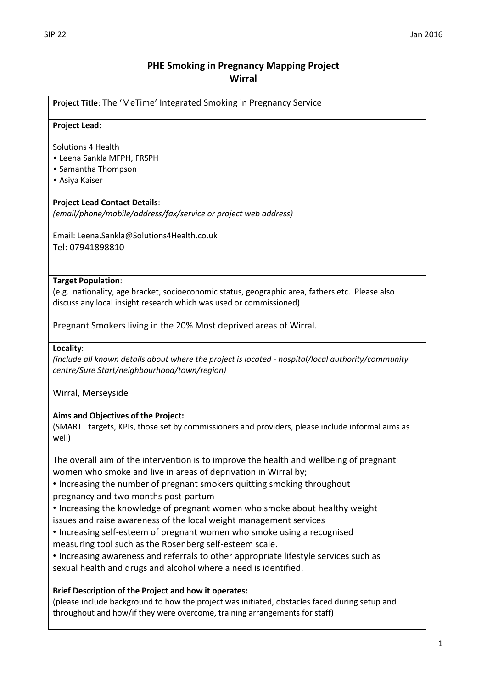# **PHE Smoking in Pregnancy Mapping Project Wirral**

**Project Title**: The 'MeTime' Integrated Smoking in Pregnancy Service

### **Project Lead**:

Solutions 4 Health

- Leena Sankla MFPH, FRSPH
- Samantha Thompson
- Asiya Kaiser

### **Project Lead Contact Details**:

*(email/phone/mobile/address/fax/service or project web address)*

Email: Leena.Sankla@Solutions4Health.co.uk Tel: 07941898810

### **Target Population**:

(e.g. nationality, age bracket, socioeconomic status, geographic area, fathers etc. Please also discuss any local insight research which was used or commissioned)

Pregnant Smokers living in the 20% Most deprived areas of Wirral.

### **Locality**:

*(include all known details about where the project is located - hospital/local authority/community centre/Sure Start/neighbourhood/town/region)*

Wirral, Merseyside

### **Aims and Objectives of the Project:**

(SMARTT targets, KPIs, those set by commissioners and providers, please include informal aims as well)

The overall aim of the intervention is to improve the health and wellbeing of pregnant women who smoke and live in areas of deprivation in Wirral by;

• Increasing the number of pregnant smokers quitting smoking throughout pregnancy and two months post-partum

• Increasing the knowledge of pregnant women who smoke about healthy weight issues and raise awareness of the local weight management services

• Increasing self-esteem of pregnant women who smoke using a recognised measuring tool such as the Rosenberg self-esteem scale.

• Increasing awareness and referrals to other appropriate lifestyle services such as sexual health and drugs and alcohol where a need is identified.

#### **Brief Description of the Project and how it operates:**

(please include background to how the project was initiated, obstacles faced during setup and throughout and how/if they were overcome, training arrangements for staff)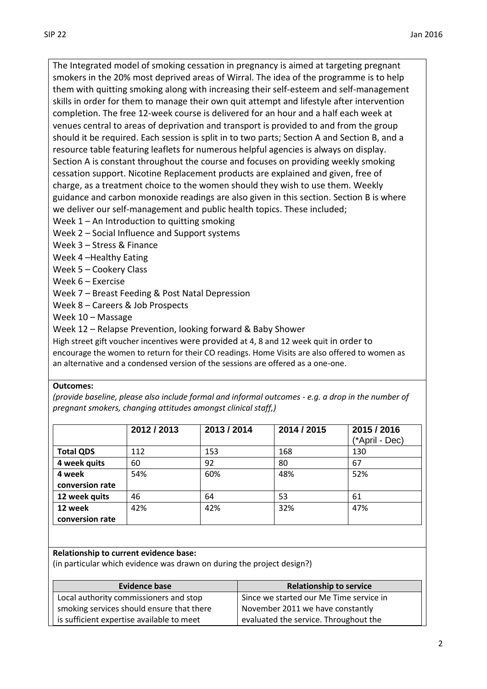The Integrated model of smoking cessation in pregnancy is aimed at targeting pregnant smokers in the 20% most deprived areas of Wirral. The idea of the programme is to help them with quitting smoking along with increasing their self-esteem and self-management skills in order for them to manage their own quit attempt and lifestyle after intervention completion. The free 12-week course is delivered for an hour and a half each week at venues central to areas of deprivation and transport is provided to and from the group should it be required. Each session is split in to two parts; Section A and Section B, and a resource table featuring leaflets for numerous helpful agencies is always on display. Section A is constant throughout the course and focuses on providing weekly smoking cessation support. Nicotine Replacement products are explained and given, free of charge, as a treatment choice to the women should they wish to use them. Weekly guidance and carbon monoxide readings are also given in this section. Section B is where

we deliver our self-management and public health topics. These included;

Week 1 – An Introduction to quitting smoking

Week 2 – Social Influence and Support systems

Week 3 – Stress & Finance

Week 4 –Healthy Eating

Week 5 – Cookery Class

Week 6 – Exercise

Week 7 – Breast Feeding & Post Natal Depression

Week 8 – Careers & Job Prospects

Week 10 – Massage

Week 12 – Relapse Prevention, looking forward & Baby Shower

High street gift voucher incentives were provided at 4, 8 and 12 week quit in order to encourage the women to return for their CO readings. Home Visits are also offered to women as an alternative and a condensed version of the sessions are offered as a one-one.

### **Outcomes:**

*(provide baseline, please also include formal and informal outcomes - e.g. a drop in the number of pregnant smokers, changing attitudes amongst clinical staff,)*

|                  | 2012 / 2013 | 2013 / 2014 | 2014 / 2015 | 2015 / 2016<br>(*April - Dec) |
|------------------|-------------|-------------|-------------|-------------------------------|
| <b>Total QDS</b> | 112         | 153         | 168         | 130                           |
| 4 week quits     | 60          | 92          | 80          | 67                            |
| 4 week           | 54%         | 60%         | 48%         | 52%                           |
| conversion rate  |             |             |             |                               |
| 12 week quits    | 46          | 64          | 53          | 61                            |
| 12 week          | 42%         | 42%         | 32%         | 47%                           |
| conversion rate  |             |             |             |                               |

### **Relationship to current evidence base:**

(in particular which evidence was drawn on during the project design?)

| <b>Evidence base</b>                      | <b>Relationship to service</b>          |
|-------------------------------------------|-----------------------------------------|
| Local authority commissioners and stop    | Since we started our Me Time service in |
| smoking services should ensure that there | November 2011 we have constantly        |
| is sufficient expertise available to meet | evaluated the service. Throughout the   |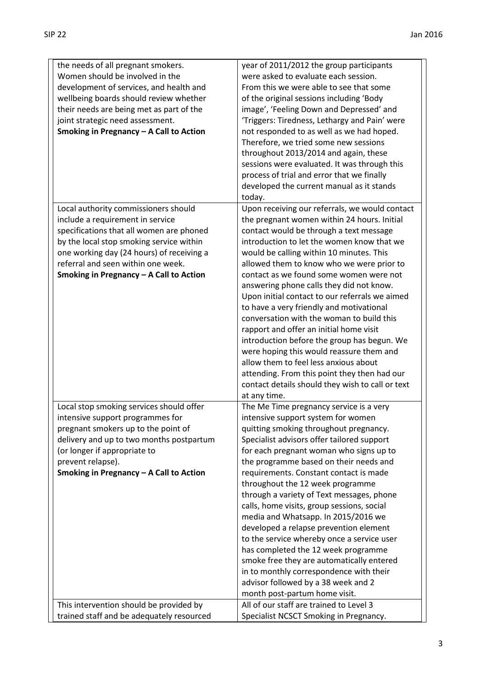| the needs of all pregnant smokers.        | year of 2011/2012 the group participants         |
|-------------------------------------------|--------------------------------------------------|
| Women should be involved in the           | were asked to evaluate each session.             |
| development of services, and health and   | From this we were able to see that some          |
| wellbeing boards should review whether    | of the original sessions including 'Body         |
| their needs are being met as part of the  | image', 'Feeling Down and Depressed' and         |
| joint strategic need assessment.          | 'Triggers: Tiredness, Lethargy and Pain' were    |
| Smoking in Pregnancy - A Call to Action   | not responded to as well as we had hoped.        |
|                                           | Therefore, we tried some new sessions            |
|                                           | throughout 2013/2014 and again, these            |
|                                           |                                                  |
|                                           | sessions were evaluated. It was through this     |
|                                           | process of trial and error that we finally       |
|                                           | developed the current manual as it stands        |
|                                           | today.                                           |
| Local authority commissioners should      | Upon receiving our referrals, we would contact   |
| include a requirement in service          | the pregnant women within 24 hours. Initial      |
| specifications that all women are phoned  | contact would be through a text message          |
| by the local stop smoking service within  | introduction to let the women know that we       |
| one working day (24 hours) of receiving a | would be calling within 10 minutes. This         |
| referral and seen within one week.        | allowed them to know who we were prior to        |
| Smoking in Pregnancy - A Call to Action   | contact as we found some women were not          |
|                                           | answering phone calls they did not know.         |
|                                           | Upon initial contact to our referrals we aimed   |
|                                           | to have a very friendly and motivational         |
|                                           | conversation with the woman to build this        |
|                                           | rapport and offer an initial home visit          |
|                                           | introduction before the group has begun. We      |
|                                           | were hoping this would reassure them and         |
|                                           | allow them to feel less anxious about            |
|                                           | attending. From this point they then had our     |
|                                           | contact details should they wish to call or text |
|                                           | at any time.                                     |
| Local stop smoking services should offer  | The Me Time pregnancy service is a very          |
| intensive support programmes for          | intensive support system for women               |
| pregnant smokers up to the point of       | quitting smoking throughout pregnancy.           |
|                                           | Specialist advisors offer tailored support       |
| delivery and up to two months postpartum  | for each pregnant woman who signs up to          |
| (or longer if appropriate to              |                                                  |
| prevent relapse).                         | the programme based on their needs and           |
| Smoking in Pregnancy - A Call to Action   | requirements. Constant contact is made           |
|                                           | throughout the 12 week programme                 |
|                                           | through a variety of Text messages, phone        |
|                                           | calls, home visits, group sessions, social       |
|                                           | media and Whatsapp. In 2015/2016 we              |
|                                           | developed a relapse prevention element           |
|                                           | to the service whereby once a service user       |
|                                           | has completed the 12 week programme              |
|                                           | smoke free they are automatically entered        |
|                                           | in to monthly correspondence with their          |
|                                           | advisor followed by a 38 week and 2              |
|                                           | month post-partum home visit.                    |
| This intervention should be provided by   | All of our staff are trained to Level 3          |
| trained staff and be adequately resourced | Specialist NCSCT Smoking in Pregnancy.           |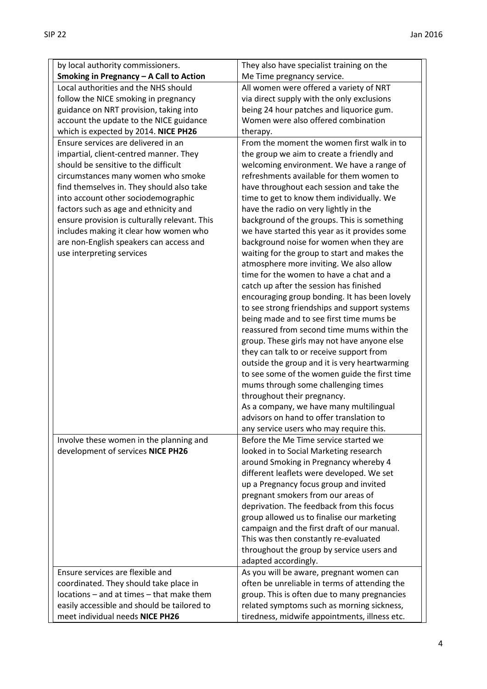| by local authority commissioners.             | They also have specialist training on the                          |
|-----------------------------------------------|--------------------------------------------------------------------|
| Smoking in Pregnancy - A Call to Action       | Me Time pregnancy service.                                         |
| Local authorities and the NHS should          | All women were offered a variety of NRT                            |
| follow the NICE smoking in pregnancy          | via direct supply with the only exclusions                         |
| guidance on NRT provision, taking into        | being 24 hour patches and liquorice gum.                           |
| account the update to the NICE guidance       | Women were also offered combination                                |
| which is expected by 2014. NICE PH26          | therapy.                                                           |
| Ensure services are delivered in an           | From the moment the women first walk in to                         |
| impartial, client-centred manner. They        | the group we aim to create a friendly and                          |
| should be sensitive to the difficult          | welcoming environment. We have a range of                          |
| circumstances many women who smoke            | refreshments available for them women to                           |
| find themselves in. They should also take     | have throughout each session and take the                          |
| into account other sociodemographic           | time to get to know them individually. We                          |
| factors such as age and ethnicity and         | have the radio on very lightly in the                              |
| ensure provision is culturally relevant. This | background of the groups. This is something                        |
| includes making it clear how women who        | we have started this year as it provides some                      |
| are non-English speakers can access and       | background noise for women when they are                           |
| use interpreting services                     | waiting for the group to start and makes the                       |
|                                               | atmosphere more inviting. We also allow                            |
|                                               | time for the women to have a chat and a                            |
|                                               | catch up after the session has finished                            |
|                                               | encouraging group bonding. It has been lovely                      |
|                                               | to see strong friendships and support systems                      |
|                                               | being made and to see first time mums be                           |
|                                               | reassured from second time mums within the                         |
|                                               | group. These girls may not have anyone else                        |
|                                               | they can talk to or receive support from                           |
|                                               | outside the group and it is very heartwarming                      |
|                                               | to see some of the women guide the first time                      |
|                                               |                                                                    |
|                                               | mums through some challenging times<br>throughout their pregnancy. |
|                                               |                                                                    |
|                                               | As a company, we have many multilingual                            |
|                                               | advisors on hand to offer translation to                           |
|                                               | any service users who may require this.                            |
| Involve these women in the planning and       | Before the Me Time service started we                              |
| development of services NICE PH26             | looked in to Social Marketing research                             |
|                                               | around Smoking in Pregnancy whereby 4                              |
|                                               | different leaflets were developed. We set                          |
|                                               | up a Pregnancy focus group and invited                             |
|                                               | pregnant smokers from our areas of                                 |
|                                               | deprivation. The feedback from this focus                          |
|                                               | group allowed us to finalise our marketing                         |
|                                               | campaign and the first draft of our manual.                        |
|                                               | This was then constantly re-evaluated                              |
|                                               | throughout the group by service users and                          |
|                                               | adapted accordingly.                                               |
| Ensure services are flexible and              | As you will be aware, pregnant women can                           |
| coordinated. They should take place in        | often be unreliable in terms of attending the                      |
| locations - and at times - that make them     | group. This is often due to many pregnancies                       |
| easily accessible and should be tailored to   | related symptoms such as morning sickness,                         |
| meet individual needs NICE PH26               | tiredness, midwife appointments, illness etc.                      |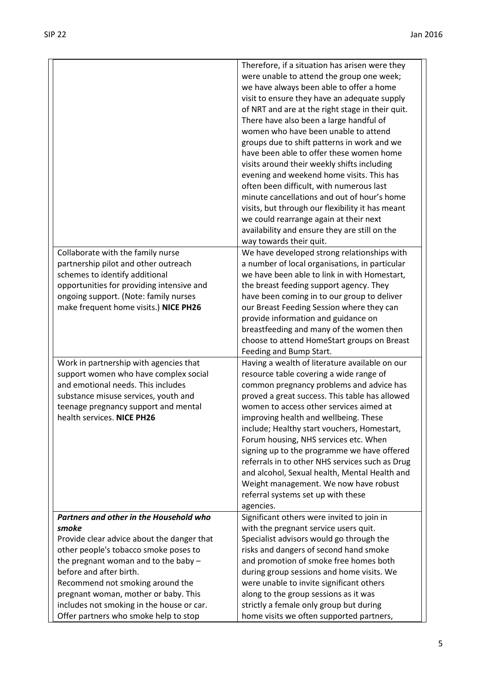|                                            | Therefore, if a situation has arisen were they                              |
|--------------------------------------------|-----------------------------------------------------------------------------|
|                                            | were unable to attend the group one week;                                   |
|                                            | we have always been able to offer a home                                    |
|                                            | visit to ensure they have an adequate supply                                |
|                                            | of NRT and are at the right stage in their quit.                            |
|                                            | There have also been a large handful of                                     |
|                                            | women who have been unable to attend                                        |
|                                            | groups due to shift patterns in work and we                                 |
|                                            | have been able to offer these women home                                    |
|                                            | visits around their weekly shifts including                                 |
|                                            | evening and weekend home visits. This has                                   |
|                                            | often been difficult, with numerous last                                    |
|                                            | minute cancellations and out of hour's home                                 |
|                                            | visits, but through our flexibility it has meant                            |
|                                            | we could rearrange again at their next                                      |
|                                            | availability and ensure they are still on the                               |
|                                            | way towards their quit.                                                     |
| Collaborate with the family nurse          | We have developed strong relationships with                                 |
| partnership pilot and other outreach       | a number of local organisations, in particular                              |
| schemes to identify additional             | we have been able to link in with Homestart,                                |
| opportunities for providing intensive and  | the breast feeding support agency. They                                     |
| ongoing support. (Note: family nurses      | have been coming in to our group to deliver                                 |
| make frequent home visits.) NICE PH26      | our Breast Feeding Session where they can                                   |
|                                            | provide information and guidance on                                         |
|                                            | breastfeeding and many of the women then                                    |
|                                            | choose to attend HomeStart groups on Breast                                 |
|                                            | Feeding and Bump Start.                                                     |
| Work in partnership with agencies that     | Having a wealth of literature available on our                              |
| support women who have complex social      | resource table covering a wide range of                                     |
| and emotional needs. This includes         | common pregnancy problems and advice has                                    |
| substance misuse services, youth and       | proved a great success. This table has allowed                              |
| teenage pregnancy support and mental       | women to access other services aimed at                                     |
| health services. NICE PH26                 | improving health and wellbeing. These                                       |
|                                            | include; Healthy start vouchers, Homestart,                                 |
|                                            | Forum housing, NHS services etc. When                                       |
|                                            | signing up to the programme we have offered                                 |
|                                            | referrals in to other NHS services such as Drug                             |
|                                            | and alcohol, Sexual health, Mental Health and                               |
|                                            | Weight management. We now have robust<br>referral systems set up with these |
|                                            | agencies.                                                                   |
| Partners and other in the Household who    | Significant others were invited to join in                                  |
| smoke                                      | with the pregnant service users quit.                                       |
| Provide clear advice about the danger that | Specialist advisors would go through the                                    |
| other people's tobacco smoke poses to      | risks and dangers of second hand smoke                                      |
| the pregnant woman and to the baby $-$     | and promotion of smoke free homes both                                      |
| before and after birth.                    | during group sessions and home visits. We                                   |
| Recommend not smoking around the           | were unable to invite significant others                                    |
| pregnant woman, mother or baby. This       | along to the group sessions as it was                                       |
| includes not smoking in the house or car.  | strictly a female only group but during                                     |
| Offer partners who smoke help to stop      | home visits we often supported partners,                                    |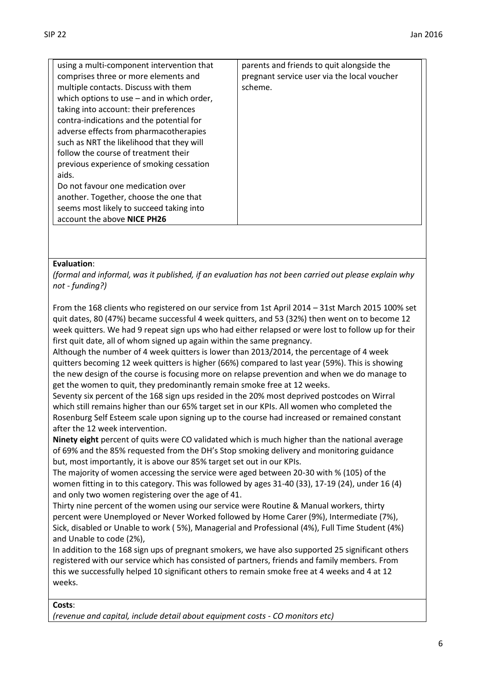| using a multi-component intervention that    | parents and friends to quit alongside the   |
|----------------------------------------------|---------------------------------------------|
| comprises three or more elements and         | pregnant service user via the local voucher |
| multiple contacts. Discuss with them         | scheme.                                     |
| which options to use $-$ and in which order, |                                             |
| taking into account: their preferences       |                                             |
| contra-indications and the potential for     |                                             |
| adverse effects from pharmacotherapies       |                                             |
| such as NRT the likelihood that they will    |                                             |
| follow the course of treatment their         |                                             |
| previous experience of smoking cessation     |                                             |
| aids.                                        |                                             |
| Do not favour one medication over            |                                             |
| another. Together, choose the one that       |                                             |
| seems most likely to succeed taking into     |                                             |
| account the above NICE PH26                  |                                             |
|                                              |                                             |

#### **Evaluation**:

*(formal and informal, was it published, if an evaluation has not been carried out please explain why not - funding?)*

From the 168 clients who registered on our service from 1st April 2014 – 31st March 2015 100% set quit dates, 80 (47%) became successful 4 week quitters, and 53 (32%) then went on to become 12 week quitters. We had 9 repeat sign ups who had either relapsed or were lost to follow up for their first quit date, all of whom signed up again within the same pregnancy.

Although the number of 4 week quitters is lower than 2013/2014, the percentage of 4 week quitters becoming 12 week quitters is higher (66%) compared to last year (59%). This is showing the new design of the course is focusing more on relapse prevention and when we do manage to get the women to quit, they predominantly remain smoke free at 12 weeks.

Seventy six percent of the 168 sign ups resided in the 20% most deprived postcodes on Wirral which still remains higher than our 65% target set in our KPIs. All women who completed the Rosenburg Self Esteem scale upon signing up to the course had increased or remained constant after the 12 week intervention.

**Ninety eight** percent of quits were CO validated which is much higher than the national average of 69% and the 85% requested from the DH's Stop smoking delivery and monitoring guidance but, most importantly, it is above our 85% target set out in our KPIs.

The majority of women accessing the service were aged between 20-30 with % (105) of the women fitting in to this category. This was followed by ages 31-40 (33), 17-19 (24), under 16 (4) and only two women registering over the age of 41.

Thirty nine percent of the women using our service were Routine & Manual workers, thirty percent were Unemployed or Never Worked followed by Home Carer (9%), Intermediate (7%), Sick, disabled or Unable to work ( 5%), Managerial and Professional (4%), Full Time Student (4%) and Unable to code (2%),

In addition to the 168 sign ups of pregnant smokers, we have also supported 25 significant others registered with our service which has consisted of partners, friends and family members. From this we successfully helped 10 significant others to remain smoke free at 4 weeks and 4 at 12 weeks.

**Costs**:

*(revenue and capital, include detail about equipment costs - CO monitors etc)*